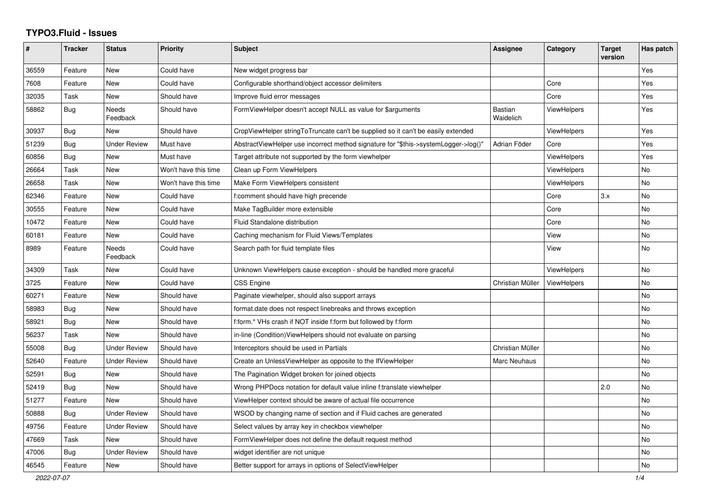## **TYPO3.Fluid - Issues**

| #     | Tracker    | <b>Status</b>       | <b>Priority</b>      | <b>Subject</b>                                                                      | <b>Assignee</b>      | Category           | <b>Target</b><br>version | Has patch |
|-------|------------|---------------------|----------------------|-------------------------------------------------------------------------------------|----------------------|--------------------|--------------------------|-----------|
| 36559 | Feature    | New                 | Could have           | New widget progress bar                                                             |                      |                    |                          | Yes       |
| 7608  | Feature    | <b>New</b>          | Could have           | Configurable shorthand/object accessor delimiters                                   |                      | Core               |                          | Yes       |
| 32035 | Task       | New                 | Should have          | Improve fluid error messages                                                        |                      | Core               |                          | Yes       |
| 58862 | Bug        | Needs<br>Feedback   | Should have          | FormViewHelper doesn't accept NULL as value for \$arguments                         | Bastian<br>Waidelich | <b>ViewHelpers</b> |                          | Yes       |
| 30937 | Bug        | New                 | Should have          | CropViewHelper stringToTruncate can't be supplied so it can't be easily extended    |                      | ViewHelpers        |                          | Yes       |
| 51239 | Bug        | <b>Under Review</b> | Must have            | AbstractViewHelper use incorrect method signature for "\$this->systemLogger->log()" | Adrian Föder         | Core               |                          | Yes       |
| 60856 | Bug        | <b>New</b>          | Must have            | Target attribute not supported by the form viewhelper                               |                      | ViewHelpers        |                          | Yes       |
| 26664 | Task       | New                 | Won't have this time | Clean up Form ViewHelpers                                                           |                      | <b>ViewHelpers</b> |                          | No        |
| 26658 | Task       | <b>New</b>          | Won't have this time | Make Form ViewHelpers consistent                                                    |                      | <b>ViewHelpers</b> |                          | No        |
| 62346 | Feature    | New                 | Could have           | f:comment should have high precende                                                 |                      | Core               | 3.x                      | <b>No</b> |
| 30555 | Feature    | New                 | Could have           | Make TagBuilder more extensible                                                     |                      | Core               |                          | <b>No</b> |
| 10472 | Feature    | <b>New</b>          | Could have           | Fluid Standalone distribution                                                       |                      | Core               |                          | <b>No</b> |
| 60181 | Feature    | New                 | Could have           | Caching mechanism for Fluid Views/Templates                                         |                      | View               |                          | No        |
| 8989  | Feature    | Needs<br>Feedback   | Could have           | Search path for fluid template files                                                |                      | View               |                          | No        |
| 34309 | Task       | New                 | Could have           | Unknown ViewHelpers cause exception - should be handled more graceful               |                      | ViewHelpers        |                          | No        |
| 3725  | Feature    | <b>New</b>          | Could have           | <b>CSS Engine</b>                                                                   | Christian Müller     | ViewHelpers        |                          | <b>No</b> |
| 60271 | Feature    | New                 | Should have          | Paginate viewhelper, should also support arrays                                     |                      |                    |                          | No        |
| 58983 | Bug        | New                 | Should have          | format.date does not respect linebreaks and throws exception                        |                      |                    |                          | No        |
| 58921 | Bug        | <b>New</b>          | Should have          | f:form.* VHs crash if NOT inside f:form but followed by f:form                      |                      |                    |                          | <b>No</b> |
| 56237 | Task       | <b>New</b>          | Should have          | in-line (Condition) View Helpers should not evaluate on parsing                     |                      |                    |                          | No        |
| 55008 | Bug        | <b>Under Review</b> | Should have          | Interceptors should be used in Partials                                             | Christian Müller     |                    |                          | <b>No</b> |
| 52640 | Feature    | <b>Under Review</b> | Should have          | Create an UnlessViewHelper as opposite to the IfViewHelper                          | Marc Neuhaus         |                    |                          | No        |
| 52591 | Bug        | New                 | Should have          | The Pagination Widget broken for joined objects                                     |                      |                    |                          | <b>No</b> |
| 52419 | Bug        | New                 | Should have          | Wrong PHPDocs notation for default value inline f:translate viewhelper              |                      |                    | 2.0                      | <b>No</b> |
| 51277 | Feature    | New                 | Should have          | ViewHelper context should be aware of actual file occurrence                        |                      |                    |                          | No        |
| 50888 | Bug        | <b>Under Review</b> | Should have          | WSOD by changing name of section and if Fluid caches are generated                  |                      |                    |                          | No        |
| 49756 | Feature    | <b>Under Review</b> | Should have          | Select values by array key in checkbox viewhelper                                   |                      |                    |                          | No        |
| 47669 | Task       | New                 | Should have          | FormViewHelper does not define the default request method                           |                      |                    |                          | No        |
| 47006 | <b>Bug</b> | <b>Under Review</b> | Should have          | widget identifier are not unique                                                    |                      |                    |                          | No        |
| 46545 | Feature    | New                 | Should have          | Better support for arrays in options of SelectViewHelper                            |                      |                    |                          | No        |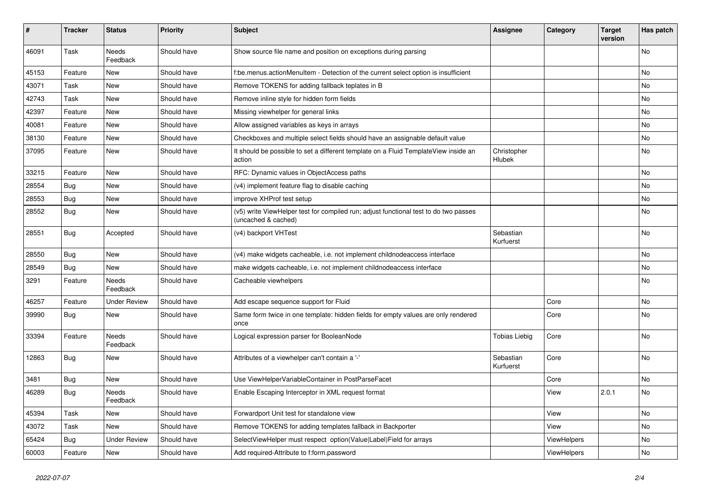| $\vert$ # | <b>Tracker</b> | <b>Status</b>            | <b>Priority</b> | <b>Subject</b>                                                                                              | Assignee               | Category    | <b>Target</b><br>version | Has patch |
|-----------|----------------|--------------------------|-----------------|-------------------------------------------------------------------------------------------------------------|------------------------|-------------|--------------------------|-----------|
| 46091     | Task           | <b>Needs</b><br>Feedback | Should have     | Show source file name and position on exceptions during parsing                                             |                        |             |                          | <b>No</b> |
| 45153     | Feature        | New                      | Should have     | f:be.menus.actionMenuItem - Detection of the current select option is insufficient                          |                        |             |                          | No        |
| 43071     | Task           | <b>New</b>               | Should have     | Remove TOKENS for adding fallback teplates in B                                                             |                        |             |                          | No        |
| 42743     | Task           | New                      | Should have     | Remove inline style for hidden form fields                                                                  |                        |             |                          | No        |
| 42397     | Feature        | <b>New</b>               | Should have     | Missing viewhelper for general links                                                                        |                        |             |                          | No        |
| 40081     | Feature        | <b>New</b>               | Should have     | Allow assigned variables as keys in arrays                                                                  |                        |             |                          | No        |
| 38130     | Feature        | <b>New</b>               | Should have     | Checkboxes and multiple select fields should have an assignable default value                               |                        |             |                          | No        |
| 37095     | Feature        | <b>New</b>               | Should have     | It should be possible to set a different template on a Fluid TemplateView inside an<br>action               | Christopher<br>Hlubek  |             |                          | No        |
| 33215     | Feature        | <b>New</b>               | Should have     | RFC: Dynamic values in ObjectAccess paths                                                                   |                        |             |                          | <b>No</b> |
| 28554     | <b>Bug</b>     | <b>New</b>               | Should have     | (v4) implement feature flag to disable caching                                                              |                        |             |                          | <b>No</b> |
| 28553     | Bug            | New                      | Should have     | improve XHProf test setup                                                                                   |                        |             |                          | <b>No</b> |
| 28552     | <b>Bug</b>     | <b>New</b>               | Should have     | (v5) write ViewHelper test for compiled run; adjust functional test to do two passes<br>(uncached & cached) |                        |             |                          | <b>No</b> |
| 28551     | Bug            | Accepted                 | Should have     | (v4) backport VHTest                                                                                        | Sebastian<br>Kurfuerst |             |                          | No        |
| 28550     | Bug            | New                      | Should have     | (v4) make widgets cacheable, i.e. not implement childnodeaccess interface                                   |                        |             |                          | No        |
| 28549     | Bug            | New                      | Should have     | make widgets cacheable, i.e. not implement childnodeaccess interface                                        |                        |             |                          | <b>No</b> |
| 3291      | Feature        | Needs<br>Feedback        | Should have     | Cacheable viewhelpers                                                                                       |                        |             |                          | No        |
| 46257     | Feature        | <b>Under Review</b>      | Should have     | Add escape sequence support for Fluid                                                                       |                        | Core        |                          | <b>No</b> |
| 39990     | Bug            | New                      | Should have     | Same form twice in one template: hidden fields for empty values are only rendered<br>once                   |                        | Core        |                          | No        |
| 33394     | Feature        | <b>Needs</b><br>Feedback | Should have     | Logical expression parser for BooleanNode                                                                   | <b>Tobias Liebig</b>   | Core        |                          | <b>No</b> |
| 12863     | <b>Bug</b>     | New                      | Should have     | Attributes of a viewhelper can't contain a '-'                                                              | Sebastian<br>Kurfuerst | Core        |                          | <b>No</b> |
| 3481      | Bug            | New                      | Should have     | Use ViewHelperVariableContainer in PostParseFacet                                                           |                        | Core        |                          | <b>No</b> |
| 46289     | <b>Bug</b>     | <b>Needs</b><br>Feedback | Should have     | Enable Escaping Interceptor in XML request format                                                           |                        | View        | 2.0.1                    | <b>No</b> |
| 45394     | Task           | New                      | Should have     | Forwardport Unit test for standalone view                                                                   |                        | View        |                          | No        |
| 43072     | Task           | New                      | Should have     | Remove TOKENS for adding templates fallback in Backporter                                                   |                        | View        |                          | No        |
| 65424     | Bug            | <b>Under Review</b>      | Should have     | SelectViewHelper must respect option(Value Label)Field for arrays                                           |                        | ViewHelpers |                          | No        |
| 60003     | Feature        | <b>New</b>               | Should have     | Add required-Attribute to f:form.password                                                                   |                        | ViewHelpers |                          | No        |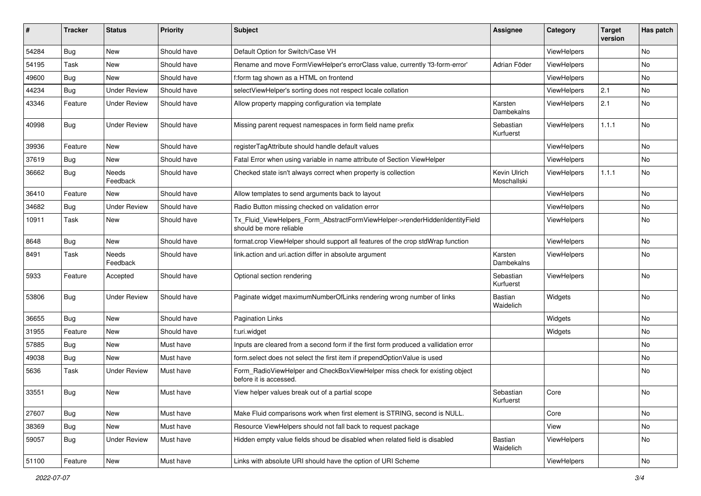| ∦     | <b>Tracker</b> | <b>Status</b>       | <b>Priority</b> | <b>Subject</b>                                                                                         | <b>Assignee</b>             | Category    | <b>Target</b><br>version | Has patch     |
|-------|----------------|---------------------|-----------------|--------------------------------------------------------------------------------------------------------|-----------------------------|-------------|--------------------------|---------------|
| 54284 | Bug            | New                 | Should have     | Default Option for Switch/Case VH                                                                      |                             | ViewHelpers |                          | No            |
| 54195 | Task           | New                 | Should have     | Rename and move FormViewHelper's errorClass value, currently 'f3-form-error'                           | Adrian Föder                | ViewHelpers |                          | No            |
| 49600 | Bug            | New                 | Should have     | f:form tag shown as a HTML on frontend                                                                 |                             | ViewHelpers |                          | No            |
| 44234 | Bug            | <b>Under Review</b> | Should have     | selectViewHelper's sorting does not respect locale collation                                           |                             | ViewHelpers | 2.1                      | No            |
| 43346 | Feature        | <b>Under Review</b> | Should have     | Allow property mapping configuration via template                                                      | Karsten<br>Dambekalns       | ViewHelpers | 2.1                      | No            |
| 40998 | Bug            | <b>Under Review</b> | Should have     | Missing parent request namespaces in form field name prefix                                            | Sebastian<br>Kurfuerst      | ViewHelpers | 1.1.1                    | No            |
| 39936 | Feature        | New                 | Should have     | registerTagAttribute should handle default values                                                      |                             | ViewHelpers |                          | No            |
| 37619 | Bug            | New                 | Should have     | Fatal Error when using variable in name attribute of Section ViewHelper                                |                             | ViewHelpers |                          | No            |
| 36662 | Bug            | Needs<br>Feedback   | Should have     | Checked state isn't always correct when property is collection                                         | Kevin Ulrich<br>Moschallski | ViewHelpers | 1.1.1                    | No            |
| 36410 | Feature        | New                 | Should have     | Allow templates to send arguments back to layout                                                       |                             | ViewHelpers |                          | No            |
| 34682 | Bug            | <b>Under Review</b> | Should have     | Radio Button missing checked on validation error                                                       |                             | ViewHelpers |                          | No            |
| 10911 | Task           | New                 | Should have     | Tx Fluid ViewHelpers Form AbstractFormViewHelper->renderHiddenIdentityField<br>should be more reliable |                             | ViewHelpers |                          | No            |
| 8648  | Bug            | New                 | Should have     | format.crop ViewHelper should support all features of the crop stdWrap function                        |                             | ViewHelpers |                          | No            |
| 8491  | Task           | Needs<br>Feedback   | Should have     | link.action and uri.action differ in absolute argument                                                 | Karsten<br>Dambekalns       | ViewHelpers |                          | No            |
| 5933  | Feature        | Accepted            | Should have     | Optional section rendering                                                                             | Sebastian<br>Kurfuerst      | ViewHelpers |                          | No            |
| 53806 | Bug            | <b>Under Review</b> | Should have     | Paginate widget maximumNumberOfLinks rendering wrong number of links                                   | <b>Bastian</b><br>Waidelich | Widgets     |                          | No            |
| 36655 | Bug            | New                 | Should have     | <b>Pagination Links</b>                                                                                |                             | Widgets     |                          | No            |
| 31955 | Feature        | <b>New</b>          | Should have     | f:uri.widget                                                                                           |                             | Widgets     |                          | No            |
| 57885 | Bug            | New                 | Must have       | Inputs are cleared from a second form if the first form produced a vallidation error                   |                             |             |                          | No            |
| 49038 | Bug            | New                 | Must have       | form.select does not select the first item if prependOptionValue is used                               |                             |             |                          | No            |
| 5636  | Task           | <b>Under Review</b> | Must have       | Form_RadioViewHelper and CheckBoxViewHelper miss check for existing object<br>before it is accessed.   |                             |             |                          | No            |
| 33551 | Bug            | New                 | Must have       | View helper values break out of a partial scope                                                        | Sebastian<br>Kurfuerst      | Core        |                          | No            |
| 27607 | Bug            | New                 | Must have       | Make Fluid comparisons work when first element is STRING, second is NULL.                              |                             | Core        |                          | No            |
| 38369 | Bug            | New                 | Must have       | Resource ViewHelpers should not fall back to request package                                           |                             | View        |                          | No            |
| 59057 | Bug            | <b>Under Review</b> | Must have       | Hidden empty value fields shoud be disabled when related field is disabled                             | Bastian<br>Waidelich        | ViewHelpers |                          | No            |
| 51100 | Feature        | New                 | Must have       | Links with absolute URI should have the option of URI Scheme                                           |                             | ViewHelpers |                          | $\mathsf{No}$ |